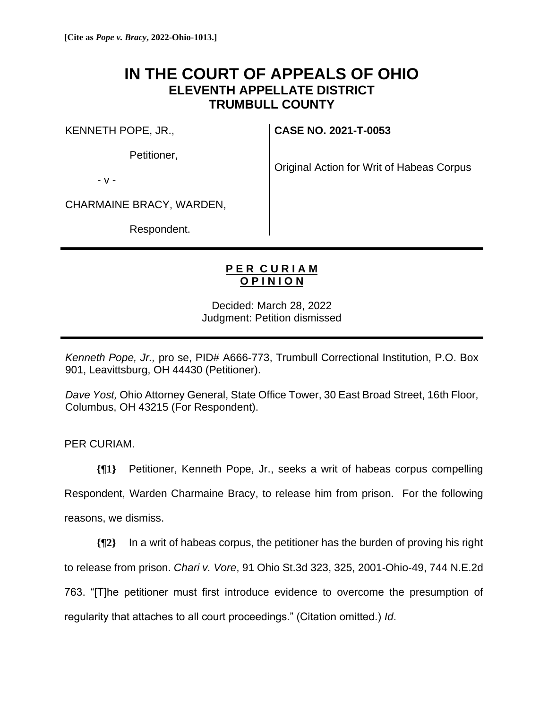## **IN THE COURT OF APPEALS OF OHIO ELEVENTH APPELLATE DISTRICT TRUMBULL COUNTY**

KENNETH POPE, JR.,

Petitioner,

**CASE NO. 2021-T-0053**

Original Action for Writ of Habeas Corpus

- v -

CHARMAINE BRACY, WARDEN,

Respondent.

## **P E R C U R I A M O P I N I O N**

Decided: March 28, 2022 Judgment: Petition dismissed

*Kenneth Pope, Jr.,* pro se, PID# A666-773, Trumbull Correctional Institution, P.O. Box 901, Leavittsburg, OH 44430 (Petitioner).

*Dave Yost,* Ohio Attorney General, State Office Tower, 30 East Broad Street, 16th Floor, Columbus, OH 43215 (For Respondent).

PER CURIAM.

**{¶1}** Petitioner, Kenneth Pope, Jr., seeks a writ of habeas corpus compelling Respondent, Warden Charmaine Bracy, to release him from prison. For the following reasons, we dismiss.

**{¶2}** In a writ of habeas corpus, the petitioner has the burden of proving his right to release from prison. *Chari v. Vore*, 91 Ohio St.3d 323, 325, 2001-Ohio-49, 744 N.E.2d 763. "[T]he petitioner must first introduce evidence to overcome the presumption of regularity that attaches to all court proceedings." (Citation omitted.) *Id*.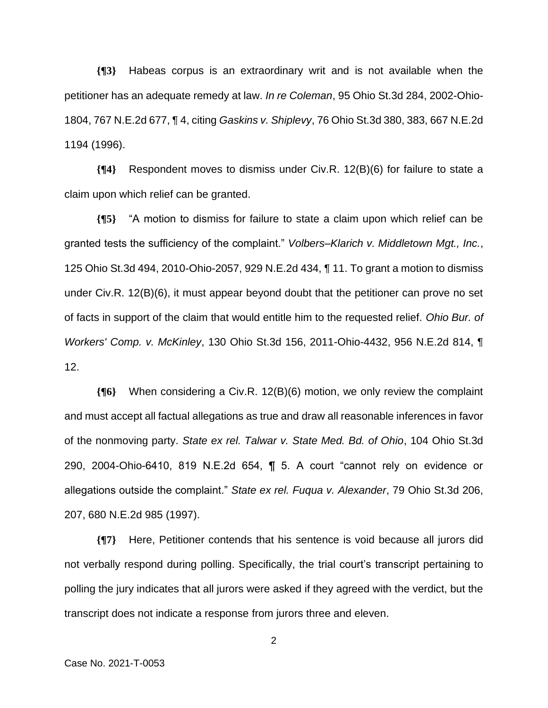**{¶3}** Habeas corpus is an extraordinary writ and is not available when the petitioner has an adequate remedy at law. *In re Coleman*, 95 Ohio St.3d 284, 2002-Ohio-1804, 767 N.E.2d 677, ¶ 4, citing *Gaskins v. Shiplevy*, 76 Ohio St.3d 380, 383, 667 N.E.2d 1194 (1996).

**{¶4}** Respondent moves to dismiss under Civ.R. 12(B)(6) for failure to state a claim upon which relief can be granted.

**{¶5}** "A motion to dismiss for failure to state a claim upon which relief can be granted tests the sufficiency of the complaint." *Volbers–Klarich v. Middletown Mgt., Inc.*, 125 Ohio St.3d 494, 2010-Ohio-2057, 929 N.E.2d 434, ¶ 11. To grant a motion to dismiss under Civ.R. 12(B)(6), it must appear beyond doubt that the petitioner can prove no set of facts in support of the claim that would entitle him to the requested relief. *Ohio Bur. of Workers' Comp. v. McKinley*, 130 Ohio St.3d 156, 2011-Ohio-4432, 956 N.E.2d 814, ¶ 12.

**{¶6}** When considering a Civ.R. 12(B)(6) motion, we only review the complaint and must accept all factual allegations as true and draw all reasonable inferences in favor of the nonmoving party. *State ex rel. Talwar v. State Med. Bd. of Ohio*, 104 Ohio St.3d 290, 2004-Ohio-6410, 819 N.E.2d 654, ¶ 5. A court "cannot rely on evidence or allegations outside the complaint." *State ex rel. Fuqua v. Alexander*, 79 Ohio St.3d 206, 207, 680 N.E.2d 985 (1997).

**{¶7}** Here, Petitioner contends that his sentence is void because all jurors did not verbally respond during polling. Specifically, the trial court's transcript pertaining to polling the jury indicates that all jurors were asked if they agreed with the verdict, but the transcript does not indicate a response from jurors three and eleven.

2